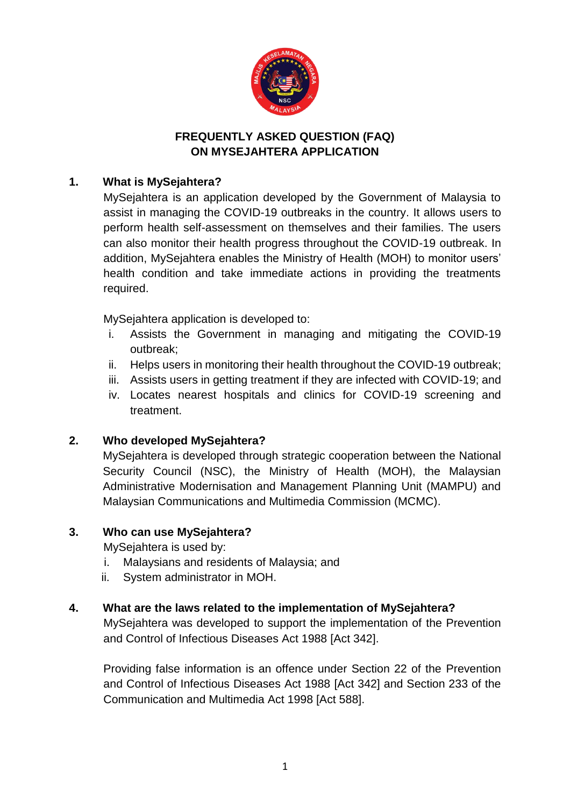

# **FREQUENTLY ASKED QUESTION (FAQ) ON MYSEJAHTERA APPLICATION**

# **1. What is MySejahtera?**

MySejahtera is an application developed by the Government of Malaysia to assist in managing the COVID-19 outbreaks in the country. It allows users to perform health self-assessment on themselves and their families. The users can also monitor their health progress throughout the COVID-19 outbreak. In addition, MySejahtera enables the Ministry of Health (MOH) to monitor users' health condition and take immediate actions in providing the treatments required.

MySejahtera application is developed to:

- i. Assists the Government in managing and mitigating the COVID-19 outbreak;
- ii. Helps users in monitoring their health throughout the COVID-19 outbreak;
- iii. Assists users in getting treatment if they are infected with COVID-19; and
- iv. Locates nearest hospitals and clinics for COVID-19 screening and treatment.

### **2. Who developed MySejahtera?**

MySejahtera is developed through strategic cooperation between the National Security Council (NSC), the Ministry of Health (MOH), the Malaysian Administrative Modernisation and Management Planning Unit (MAMPU) and Malaysian Communications and Multimedia Commission (MCMC).

#### **3. Who can use MySejahtera?**

MySejahtera is used by:

- i. Malaysians and residents of Malaysia; and
- ii. System administrator in MOH.

### **4. What are the laws related to the implementation of MySejahtera?**

MySejahtera was developed to support the implementation of the Prevention and Control of Infectious Diseases Act 1988 [Act 342].

Providing false information is an offence under Section 22 of the Prevention and Control of Infectious Diseases Act 1988 [Act 342] and Section 233 of the Communication and Multimedia Act 1998 [Act 588].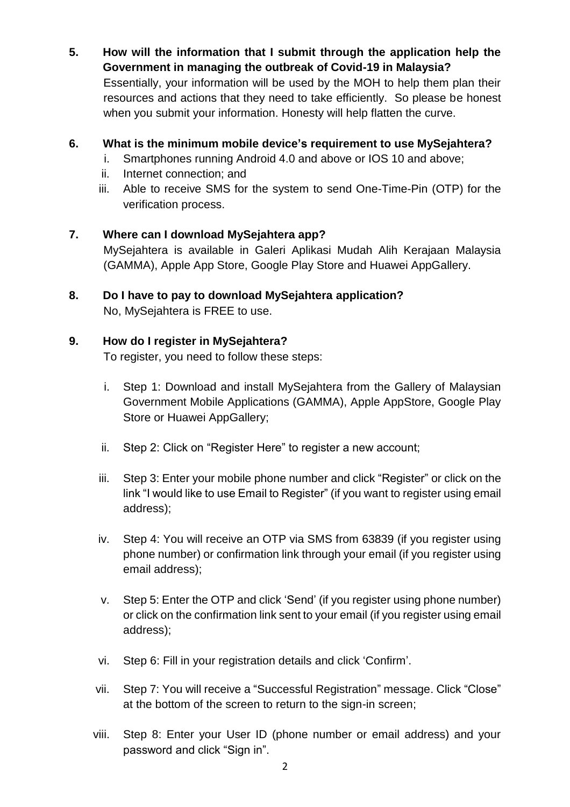**5. How will the information that I submit through the application help the Government in managing the outbreak of Covid-19 in Malaysia?** Essentially, your information will be used by the MOH to help them plan their resources and actions that they need to take efficiently. So please be honest when you submit your information. Honesty will help flatten the curve.

## **6. What is the minimum mobile device's requirement to use MySejahtera?**

- i. Smartphones running Android 4.0 and above or IOS 10 and above;
- ii. Internet connection; and
- iii. Able to receive SMS for the system to send One-Time-Pin (OTP) for the verification process.

### **7. Where can I download MySejahtera app?**

MySejahtera is available in Galeri Aplikasi Mudah Alih Kerajaan Malaysia (GAMMA), Apple App Store, Google Play Store and Huawei AppGallery.

**8. Do I have to pay to download MySejahtera application?** No, MySejahtera is FREE to use.

### **9. How do I register in MySejahtera?**

To register, you need to follow these steps:

- i. Step 1: Download and install MySejahtera from the Gallery of Malaysian Government Mobile Applications (GAMMA), Apple AppStore, Google Play Store or Huawei AppGallery;
- ii. Step 2: Click on "Register Here" to register a new account;
- iii. Step 3: Enter your mobile phone number and click "Register" or click on the link "I would like to use Email to Register" (if you want to register using email address);
- iv. Step 4: You will receive an OTP via SMS from 63839 (if you register using phone number) or confirmation link through your email (if you register using email address);
- v. Step 5: Enter the OTP and click 'Send' (if you register using phone number) or click on the confirmation link sent to your email (if you register using email address);
- vi. Step 6: Fill in your registration details and click 'Confirm'.
- vii. Step 7: You will receive a "Successful Registration" message. Click "Close" at the bottom of the screen to return to the sign-in screen;
- viii. Step 8: Enter your User ID (phone number or email address) and your password and click "Sign in".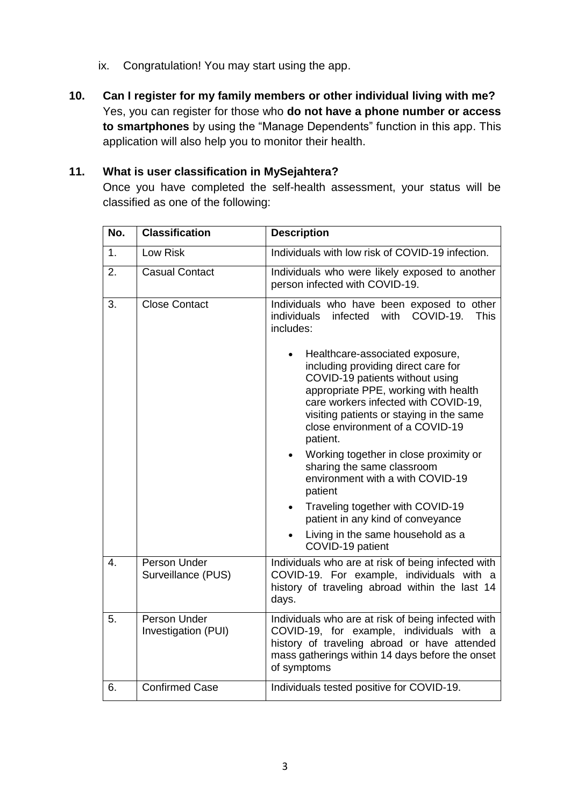- ix. Congratulation! You may start using the app.
- **10. Can I register for my family members or other individual living with me?** Yes, you can register for those who **do not have a phone number or access to smartphones** by using the "Manage Dependents" function in this app. This application will also help you to monitor their health.

#### **11. What is user classification in MySejahtera?**

Once you have completed the self-health assessment, your status will be classified as one of the following:

| No.            | <b>Classification</b>               | <b>Description</b>                                                                                                                                                                                                                                                                                                                                                                                                                                                                                                                     |
|----------------|-------------------------------------|----------------------------------------------------------------------------------------------------------------------------------------------------------------------------------------------------------------------------------------------------------------------------------------------------------------------------------------------------------------------------------------------------------------------------------------------------------------------------------------------------------------------------------------|
| 1 <sub>1</sub> | Low Risk                            | Individuals with low risk of COVID-19 infection.                                                                                                                                                                                                                                                                                                                                                                                                                                                                                       |
| 2.             | <b>Casual Contact</b>               | Individuals who were likely exposed to another<br>person infected with COVID-19.                                                                                                                                                                                                                                                                                                                                                                                                                                                       |
| 3.             | <b>Close Contact</b>                | Individuals who have been exposed to other<br>COVID-19.<br>with<br>individuals<br>infected<br><b>This</b><br>includes:                                                                                                                                                                                                                                                                                                                                                                                                                 |
|                |                                     | Healthcare-associated exposure,<br>including providing direct care for<br>COVID-19 patients without using<br>appropriate PPE, working with health<br>care workers infected with COVID-19,<br>visiting patients or staying in the same<br>close environment of a COVID-19<br>patient.<br>Working together in close proximity or<br>sharing the same classroom<br>environment with a with COVID-19<br>patient<br>Traveling together with COVID-19<br>$\bullet$<br>patient in any kind of conveyance<br>Living in the same household as a |
| 4.             | Person Under<br>Surveillance (PUS)  | COVID-19 patient<br>Individuals who are at risk of being infected with<br>COVID-19. For example, individuals with a                                                                                                                                                                                                                                                                                                                                                                                                                    |
|                |                                     | history of traveling abroad within the last 14<br>days.                                                                                                                                                                                                                                                                                                                                                                                                                                                                                |
| 5.             | Person Under<br>Investigation (PUI) | Individuals who are at risk of being infected with<br>COVID-19, for example, individuals with a<br>history of traveling abroad or have attended<br>mass gatherings within 14 days before the onset<br>of symptoms                                                                                                                                                                                                                                                                                                                      |
| 6.             | <b>Confirmed Case</b>               | Individuals tested positive for COVID-19.                                                                                                                                                                                                                                                                                                                                                                                                                                                                                              |